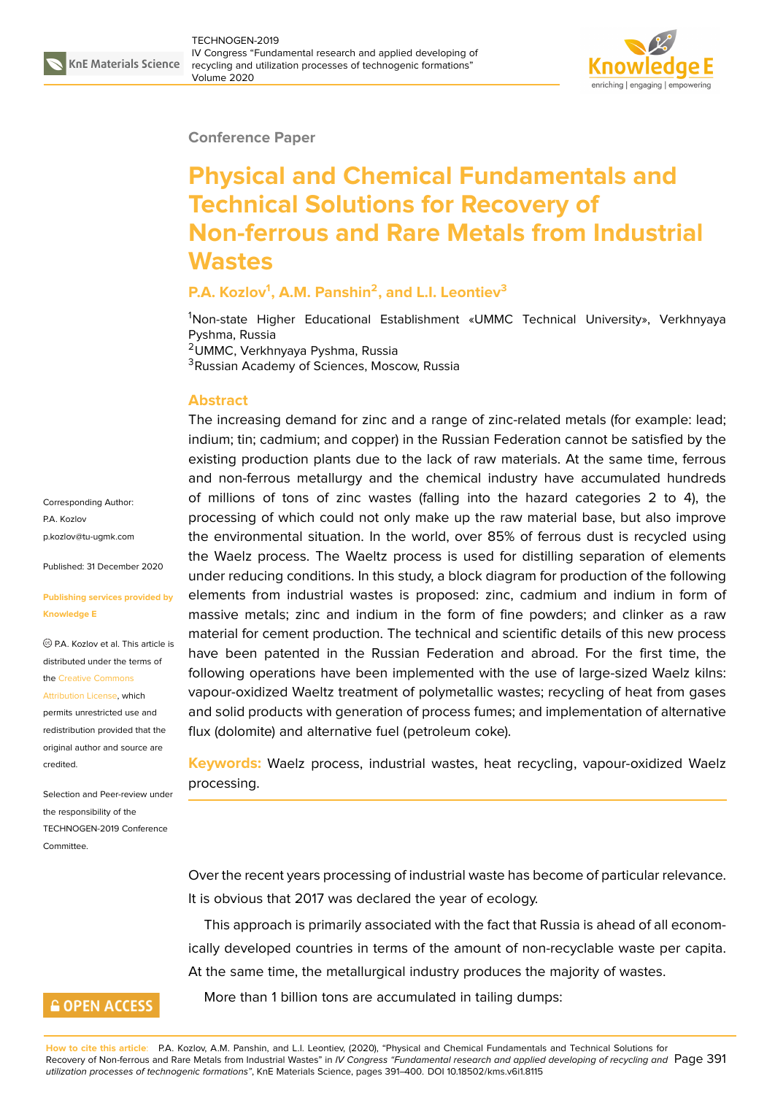#### **Conference Paper**

# **Physical and Chemical Fundamentals and Technical Solutions for Recovery of Non-ferrous and Rare Metals from Industrial Wastes**

### **P.A. Kozlov<sup>1</sup> , A.M. Panshin<sup>2</sup> , and L.I. Leontiev<sup>3</sup>**

<sup>1</sup>Non-state Higher Educational Establishment «UMMC Technical University», Verkhnyaya Pyshma, Russia <sup>2</sup>UMMC, Verkhnyaya Pyshma, Russia

<sup>3</sup>Russian Academy of Sciences, Moscow, Russia

#### **Abstract**

The increasing demand for zinc and a range of zinc-related metals (for example: lead; indium; tin; cadmium; and copper) in the Russian Federation cannot be satisfied by the existing production plants due to the lack of raw materials. At the same time, ferrous and non-ferrous metallurgy and the chemical industry have accumulated hundreds of millions of tons of zinc wastes (falling into the hazard categories 2 to 4), the processing of which could not only make up the raw material base, but also improve the environmental situation. In the world, over 85% of ferrous dust is recycled using the Waelz process. The Waeltz process is used for distilling separation of elements under reducing conditions. In this study, a block diagram for production of the following elements from industrial wastes is proposed: zinc, cadmium and indium in form of massive metals; zinc and indium in the form of fine powders; and clinker as a raw material for cement production. The technical and scientific details of this new process have been patented in the Russian Federation and abroad. For the first time, the following operations have been implemented with the use of large-sized Waelz kilns: vapour-oxidized Waeltz treatment of polymetallic wastes; recycling of heat from gases and solid products with generation of process fumes; and implementation of alternative flux (dolomite) and alternative fuel (petroleum coke).

**Keywords:** Waelz process, industrial wastes, heat recycling, vapour-oxidized Waelz processing.

Over the recent years processing of industrial waste has become of particular relevance. It is obvious that 2017 was declared the year of ecology.

This approach is primarily associated with the fact that Russia is ahead of all economically developed countries in terms of the amount of non-recyclable waste per capita. At the same time, the metallurgical industry produces the majority of wastes.

More than 1 billion tons are accumulated in tailing dumps:

Corresponding Author: P.A. Kozlov p.kozlov@tu-ugmk.com

Published: 31 December 2020

#### **[Publishing services pro](mailto:p.kozlov@tu-ugmk.com)vided by Knowledge E**

P.A. Kozlov et al. This article is distributed under the terms of the Creative Commons

Attribution License, which

permits unrestricted use and redistribution provided that the orig[inal author and sou](https://creativecommons.org/licenses/by/4.0/)rce are [credited.](https://creativecommons.org/licenses/by/4.0/)

Selection and Peer-review under the responsibility of the TECHNOGEN-2019 Conference Committee.

## **GOPEN ACCESS**

**How to cite this article**: P.A. Kozlov, A.M. Panshin, and L.I. Leontiev, (2020), "Physical and Chemical Fundamentals and Technical Solutions for Recovery of Non-ferrous and Rare Metals from Industrial Wastes" in *IV Congress "Fundamental research and applied developing of recycling and* Page 391 *utilization processes of technogenic formations"*, KnE Materials Science, pages 391–400. DOI 10.18502/kms.v6i1.8115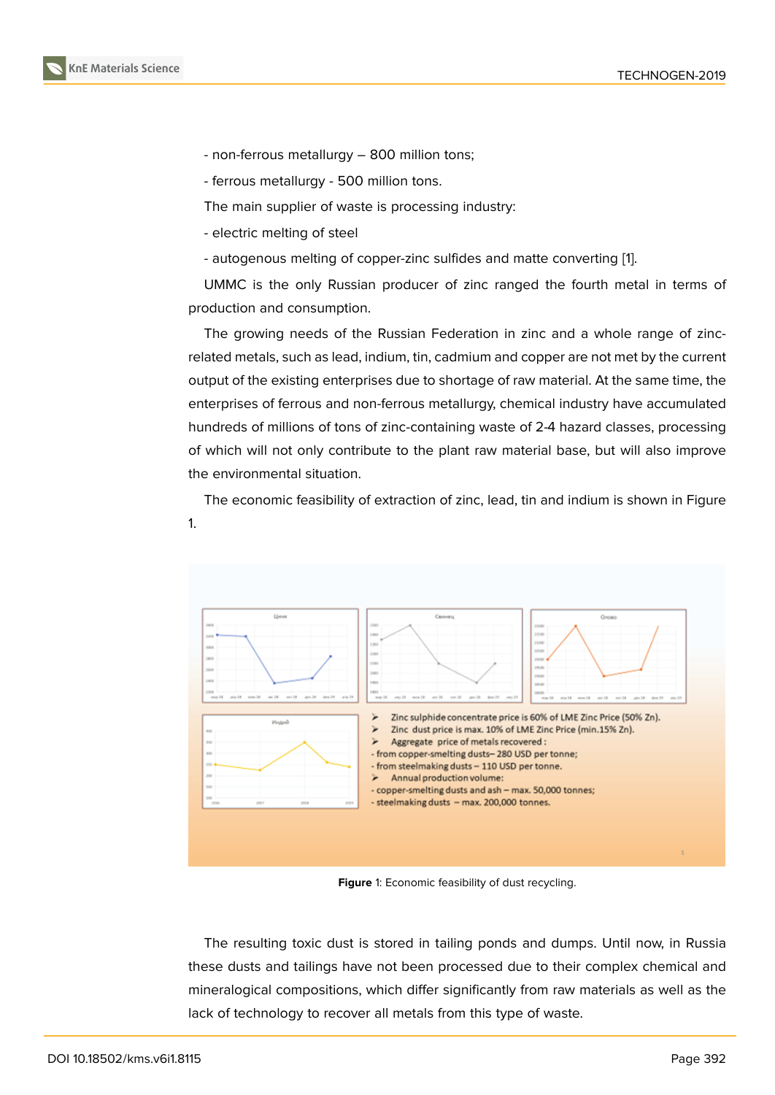- non-ferrous metallurgy 800 million tons;
- ferrous metallurgy 500 million tons.

The main supplier of waste is processing industry:

- electric melting of steel
- autogenous melting of copper-zinc sulfides and matte converting [1].

UMMC is the only Russian producer of zinc ranged the fourth metal in terms of production and consumption.

The growing needs of the Russian Federation in zinc and a whol[e](#page-8-0) range of zincrelated metals, such as lead, indium, tin, cadmium and copper are not met by the current output of the existing enterprises due to shortage of raw material. At the same time, the enterprises of ferrous and non-ferrous metallurgy, chemical industry have accumulated hundreds of millions of tons of zinc-containing waste of 2-4 hazard classes, processing of which will not only contribute to the plant raw material base, but will also improve the environmental situation.

The economic feasibility of extraction of zinc, lead, tin and indium is shown in Figure 1.



**Figure** 1: Economic feasibility of dust recycling.

The resulting toxic dust is stored in tailing ponds and dumps. Until now, in Russia these dusts and tailings have not been processed due to their complex chemical and mineralogical compositions, which differ significantly from raw materials as well as the lack of technology to recover all metals from this type of waste.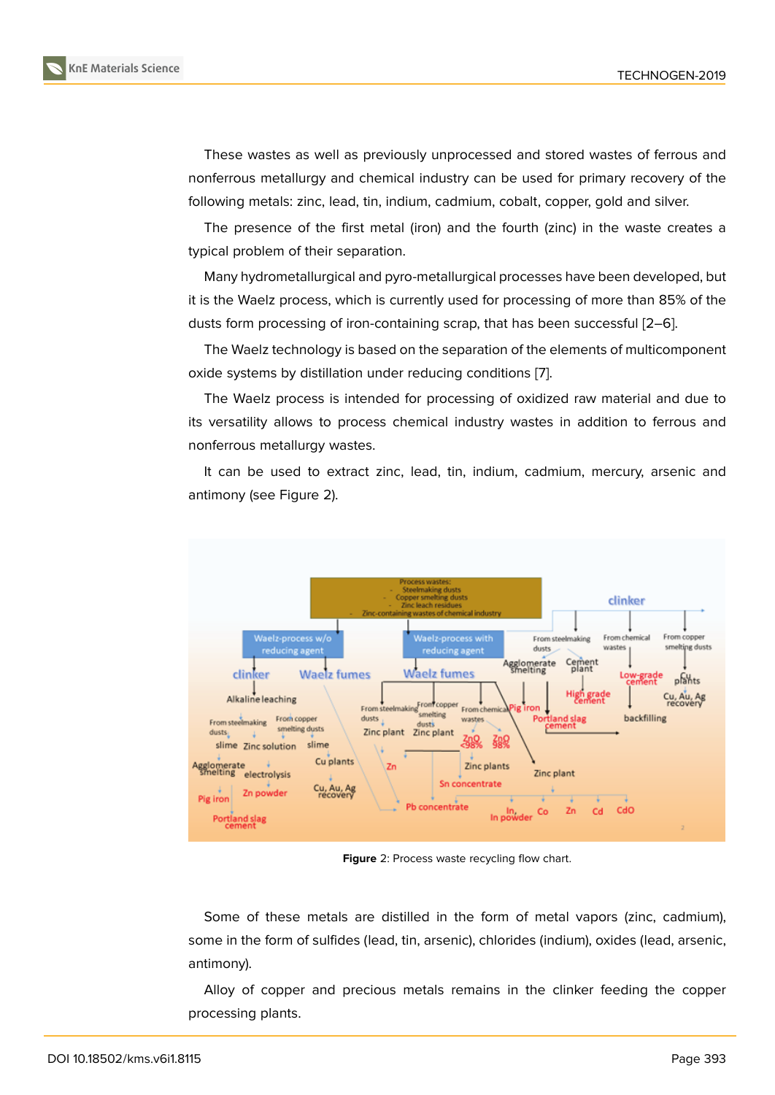These wastes as well as previously unprocessed and stored wastes of ferrous and nonferrous metallurgy and chemical industry can be used for primary recovery of the following metals: zinc, lead, tin, indium, cadmium, cobalt, copper, gold and silver.

The presence of the first metal (iron) and the fourth (zinc) in the waste creates a typical problem of their separation.

Many hydrometallurgical and pyro-metallurgical processes have been developed, but it is the Waelz process, which is currently used for processing of more than 85% of the dusts form processing of iron-containing scrap, that has been successful [2–6].

The Waelz technology is based on the separation of the elements of multicomponent oxide systems by distillation under reducing conditions [7].

The Waelz process is intended for processing of oxidized raw materi[al](#page-8-1) [an](#page-8-2)d due to its versatility allows to process chemical industry wastes in addition to ferrous and nonferrous metallurgy wastes.

It can be used to extract zinc, lead, tin, indium, cadmium, mercury, arsenic and antimony (see Figure 2).



**Figure** 2: Process waste recycling flow chart.

Some of these metals are distilled in the form of metal vapors (zinc, cadmium), some in the form of sulfides (lead, tin, arsenic), chlorides (indium), oxides (lead, arsenic, antimony).

Alloy of copper and precious metals remains in the clinker feeding the copper processing plants.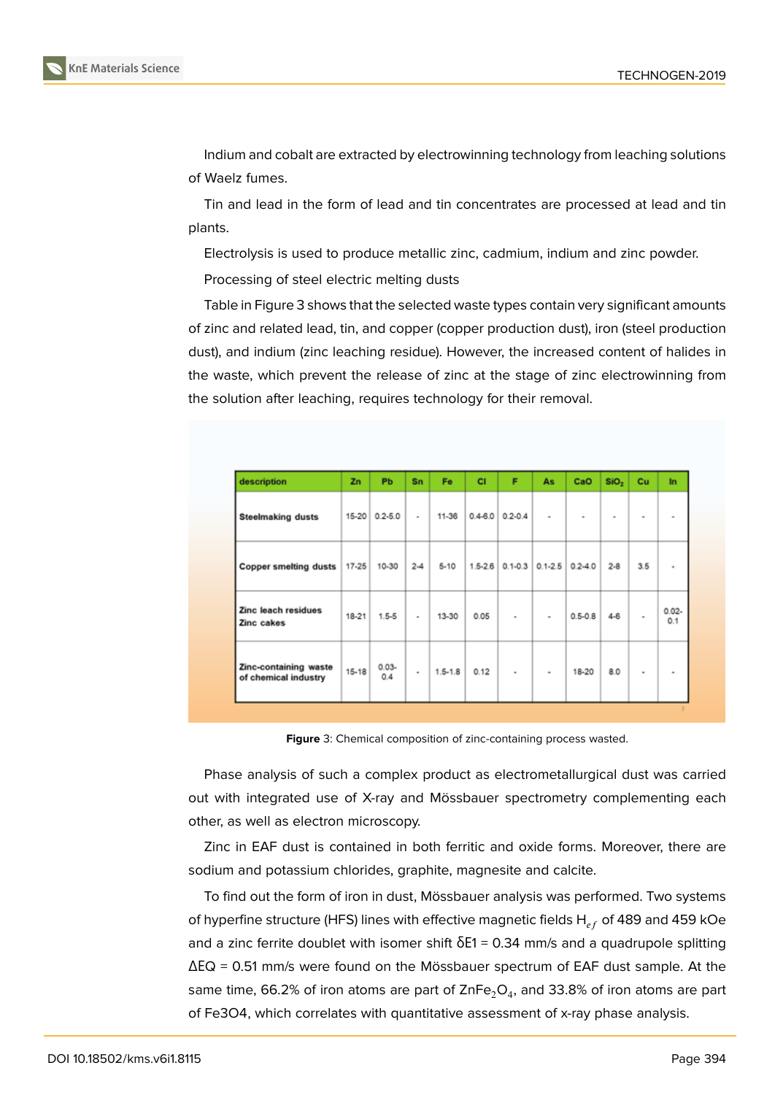Indium and cobalt are extracted by electrowinning technology from leaching solutions of Waelz fumes.

Tin and lead in the form of lead and tin concentrates are processed at lead and tin plants.

Electrolysis is used to produce metallic zinc, cadmium, indium and zinc powder.

Processing of steel electric melting dusts

Table in Figure 3 shows that the selected waste types contain very significant amounts of zinc and related lead, tin, and copper (copper production dust), iron (steel production dust), and indium (zinc leaching residue). However, the increased content of halides in the waste, which [p](#page-3-0)revent the release of zinc at the stage of zinc electrowinning from the solution after leaching, requires technology for their removal.

| description                                   | Zn        | <b>Pb</b>       | Sn       | Fe          | <b>CI</b>   | F                     | As             | CaO         | SiO <sub>2</sub> | Cu                       | In              |
|-----------------------------------------------|-----------|-----------------|----------|-------------|-------------|-----------------------|----------------|-------------|------------------|--------------------------|-----------------|
| <b>Steelmaking dusts</b>                      | $15 - 20$ | $0.2 - 5.0$     | ٠        | 11-36       | $0.4 - 6.0$ | $0.2 - 0.4$           | ۰              | ۰           | ۰                | $\overline{\phantom{a}}$ | ۰               |
| <b>Copper smelting dusts</b>                  | 17-25     | 10-30           | $2 - 4$  | $5 - 10$    | $1.5 - 2.6$ | $0.1 - 0.3$           | $0.1 - 2.5$    | $0.2 - 4.0$ | $2-8$            | 3.5                      | ٠               |
| Zinc leach residues<br>Zinc cakes             | 18-21     | $1.5 - 5$       | ٠        | 13-30       | 0.05        | $\tilde{\phantom{a}}$ | ۰              | $0.5 - 0.8$ | $4 - 6$          | ٠                        | $0.02 -$<br>0.1 |
| Zinc-containing waste<br>of chemical industry | 15-18     | $0.03 -$<br>0.4 | $\alpha$ | $1.5 - 1.8$ | 0.12        | $\,$                  | $\blacksquare$ | 18-20       | 8.0              | $\blacksquare$           | $\sim$          |

<span id="page-3-0"></span>**Figure** 3: Chemical composition of zinc-containing process wasted.

Phase analysis of such a complex product as electrometallurgical dust was carried out with integrated use of X-ray and Mössbauer spectrometry complementing each other, as well as electron microscopy.

Zinc in EAF dust is contained in both ferritic and oxide forms. Moreover, there are sodium and potassium chlorides, graphite, magnesite and calcite.

To find out the form of iron in dust, Mössbauer analysis was performed. Two systems of hyperfine structure (HFS) lines with effective magnetic fields  $H_{eff}$  of 489 and 459 kOe and a zinc ferrite doublet with isomer shift  $\delta E1 = 0.34$  mm/s and a quadrupole splitting ΔЕQ = 0.51 mm/s were found on the Mössbauer spectrum of EAF dust sample. At the same time, 66.2% of iron atoms are part of ZnFe $_2 \mathrm{O}_4$ , and 33.8% of iron atoms are part of Fe3O4, which correlates with quantitative assessment of x-ray phase analysis.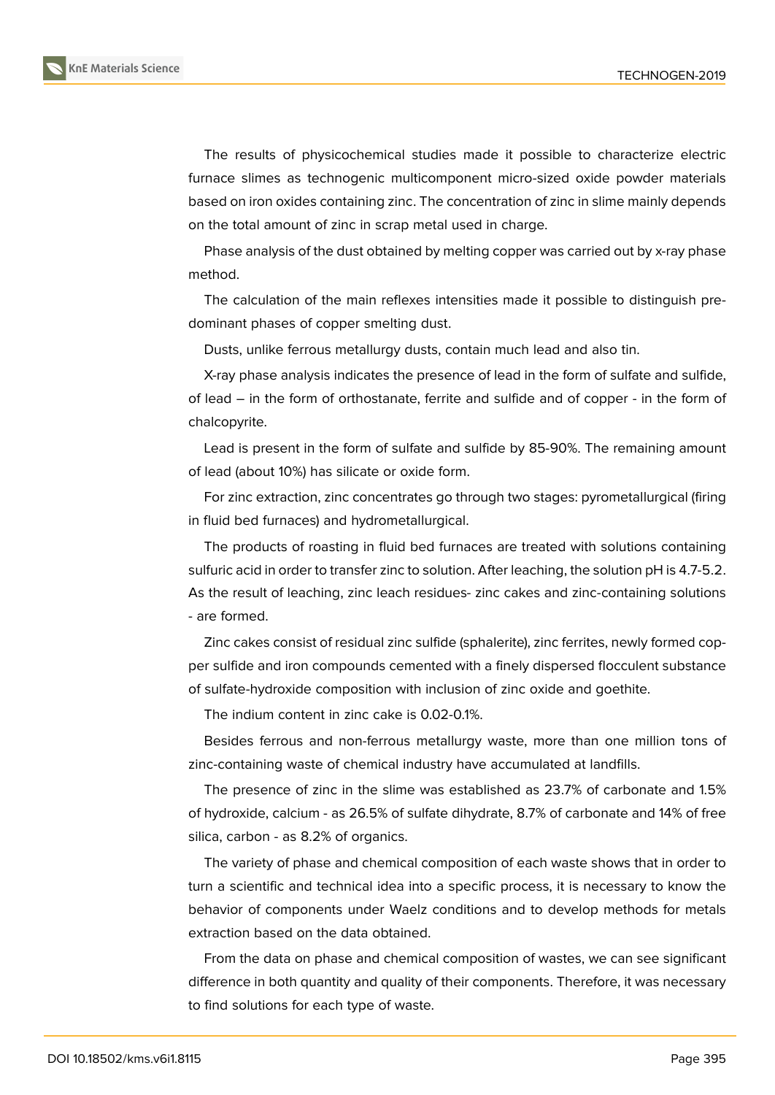

The results of physicochemical studies made it possible to characterize electric furnace slimes as technogenic multicomponent micro-sized oxide powder materials based on iron oxides containing zinc. The concentration of zinc in slime mainly depends on the total amount of zinc in scrap metal used in charge.

Phase analysis of the dust obtained by melting copper was carried out by x-ray phase method.

The calculation of the main reflexes intensities made it possible to distinguish predominant phases of copper smelting dust.

Dusts, unlike ferrous metallurgy dusts, contain much lead and also tin.

X-ray phase analysis indicates the presence of lead in the form of sulfate and sulfide, of lead – in the form of orthostanate, ferrite and sulfide and of copper - in the form of chalcopyrite.

Lead is present in the form of sulfate and sulfide by 85-90%. The remaining amount of lead (about 10%) has silicate or oxide form.

For zinc extraction, zinc concentrates go through two stages: pyrometallurgical (firing in fluid bed furnaces) and hydrometallurgical.

The products of roasting in fluid bed furnaces are treated with solutions containing sulfuric acid in order to transfer zinc to solution. After leaching, the solution pH is 4.7-5.2. As the result of leaching, zinc leach residues- zinc cakes and zinc-containing solutions - are formed.

Zinc cakes consist of residual zinc sulfide (sphalerite), zinc ferrites, newly formed copper sulfide and iron compounds cemented with a finely dispersed flocculent substance of sulfate-hydroxide composition with inclusion of zinc oxide and goethite.

The indium content in zinc cake is 0.02-0.1%.

Besides ferrous and non-ferrous metallurgy waste, more than one million tons of zinc-containing waste of chemical industry have accumulated at landfills.

The presence of zinc in the slime was established as 23.7% of carbonate and 1.5% of hydroxide, calcium - as 26.5% of sulfate dihydrate, 8.7% of carbonate and 14% of free silica, carbon - as 8.2% of organics.

The variety of phase and chemical composition of each waste shows that in order to turn a scientific and technical idea into a specific process, it is necessary to know the behavior of components under Waelz conditions and to develop methods for metals extraction based on the data obtained.

From the data on phase and chemical composition of wastes, we can see significant difference in both quantity and quality of their components. Therefore, it was necessary to find solutions for each type of waste.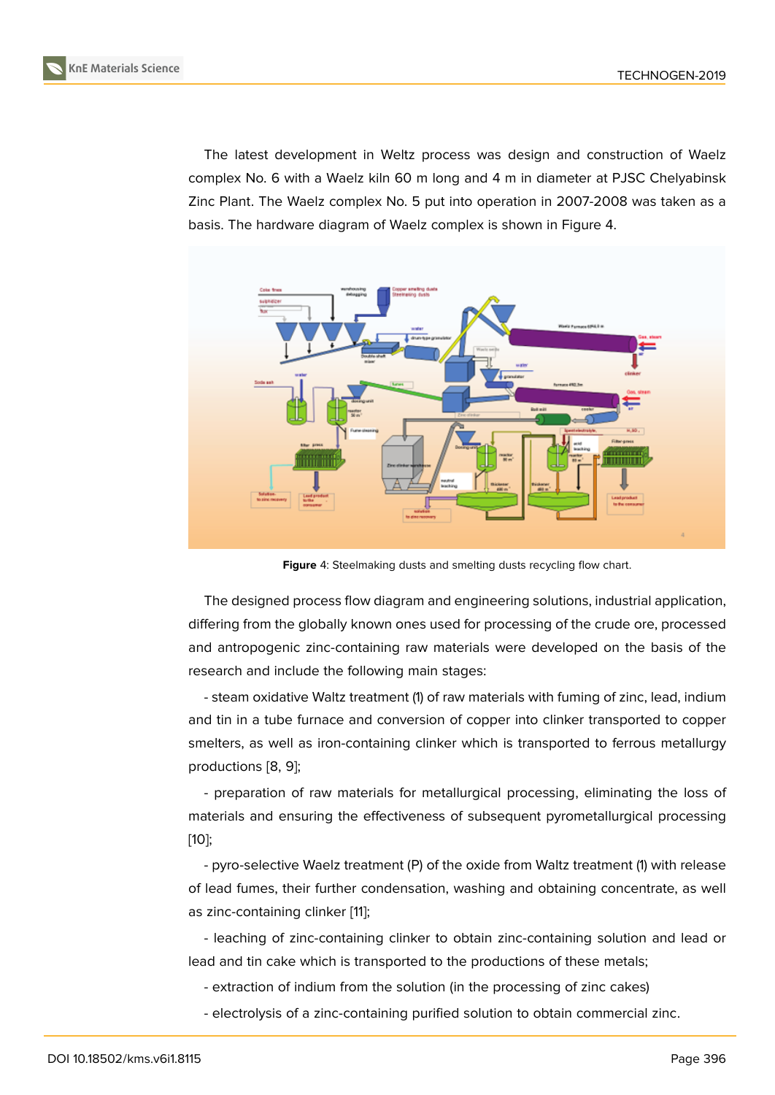The latest development in Weltz process was design and construction of Waelz complex No. 6 with a Waelz kiln 60 m long and 4 m in diameter at PJSC Chelyabinsk Zinc Plant. The Waelz complex No. 5 put into operation in 2007-2008 was taken as a basis. The hardware diagram of Waelz complex is shown in Figure 4.



**Figure** 4: Steelmaking dusts and smelting dusts recycling flow chart.

The designed process flow diagram and engineering solutions, industrial application, differing from the globally known ones used for processing of the crude ore, processed and antropogenic zinc-containing raw materials were developed on the basis of the research and include the following main stages:

- steam oxidative Waltz treatment (1) of raw materials with fuming of zinc, lead, indium and tin in a tube furnace and conversion of copper into clinker transported to copper smelters, as well as iron-containing clinker which is transported to ferrous metallurgy productions [8, 9];

- preparation of raw materials for metallurgical processing, eliminating the loss of materials and ensuring the effectiveness of subsequent pyrometallurgical processing [10];

- pyro-selective Waelz treatment (P) of the oxide from Waltz treatment (1) with release of lead fumes, their further condensation, washing and obtaining concentrate, as well [as](#page-9-0) zinc-containing clinker [11];

- leaching of zinc-containing clinker to obtain zinc-containing solution and lead or lead and tin cake which is transported to the productions of these metals;

- extraction of indium fr[om](#page-9-1) the solution (in the processing of zinc cakes)

- electrolysis of a zinc-containing purified solution to obtain commercial zinc.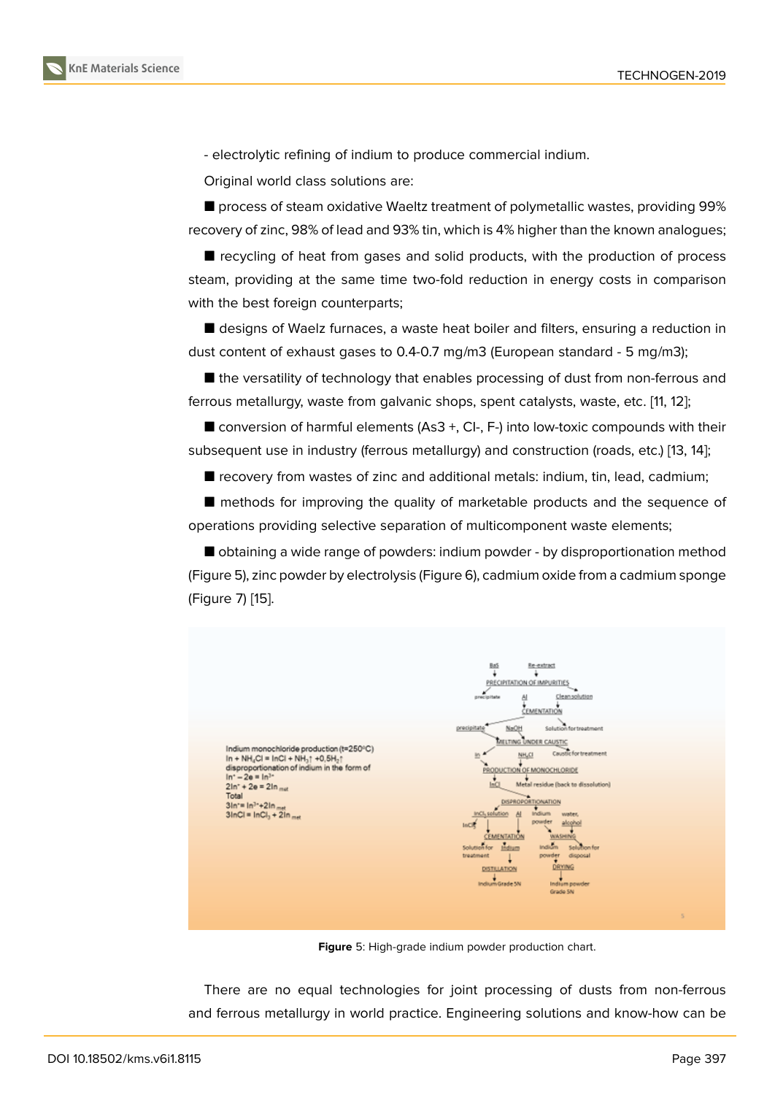- electrolytic refining of indium to produce commercial indium.

Original world class solutions are:

■ process of steam oxidative Waeltz treatment of polymetallic wastes, providing 99% recovery of zinc, 98% of lead and 93% tin, which is 4% higher than the known analogues;

■ recycling of heat from gases and solid products, with the production of process steam, providing at the same time two-fold reduction in energy costs in comparison with the best foreign counterparts;

■ designs of Waelz furnaces, a waste heat boiler and filters, ensuring a reduction in dust content of exhaust gases to 0.4-0.7 mg/m3 (European standard - 5 mg/m3);

■ the versatility of technology that enables processing of dust from non-ferrous and ferrous metallurgy, waste from galvanic shops, spent catalysts, waste, etc. [11, 12];

 $\blacksquare$  conversion of harmful elements (As3 +, CI-, F-) into low-toxic compounds with their subsequent use in industry (ferrous metallurgy) and construction (roads, etc.) [13, 14];

■ recovery from wastes of zinc and additional metals: indium, tin, lead, [ca](#page-9-1)[dmi](#page-9-2)um;

■ methods for improving the quality of marketable products and the seq[ue](#page-9-3)[nce](#page-9-4) of operations providing selective separation of multicomponent waste elements;

■ obtaining a wide range of powders: indium powder - by disproportionation method (Figure 5), zinc powder by electrolysis (Figure 6), cadmium oxide from a cadmium sponge (Figure 7) [15].



**Figure** 5: High-grade indium powder production chart.

There are no equal technologies for joint processing of dusts from non-ferrous and ferrous metallurgy in world practice. Engineering solutions and know-how can be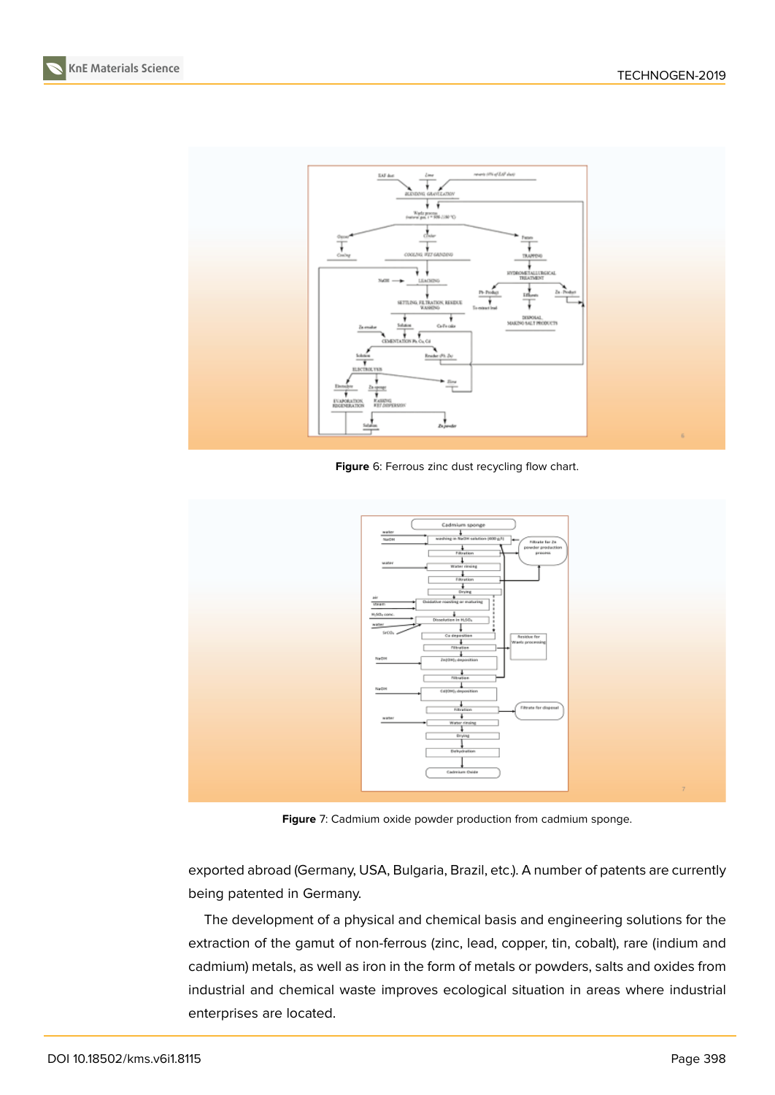**KnE Materials Science**



**Figure** 6: Ferrous zinc dust recycling flow chart.



**Figure** 7: Cadmium oxide powder production from cadmium sponge.

exported abroad (Germany, USA, Bulgaria, Brazil, etc.). A number of patents are currently being patented in Germany.

The development of a physical and chemical basis and engineering solutions for the extraction of the gamut of non-ferrous (zinc, lead, copper, tin, cobalt), rare (indium and cadmium) metals, as well as iron in the form of metals or powders, salts and oxides from industrial and chemical waste improves ecological situation in areas where industrial enterprises are located.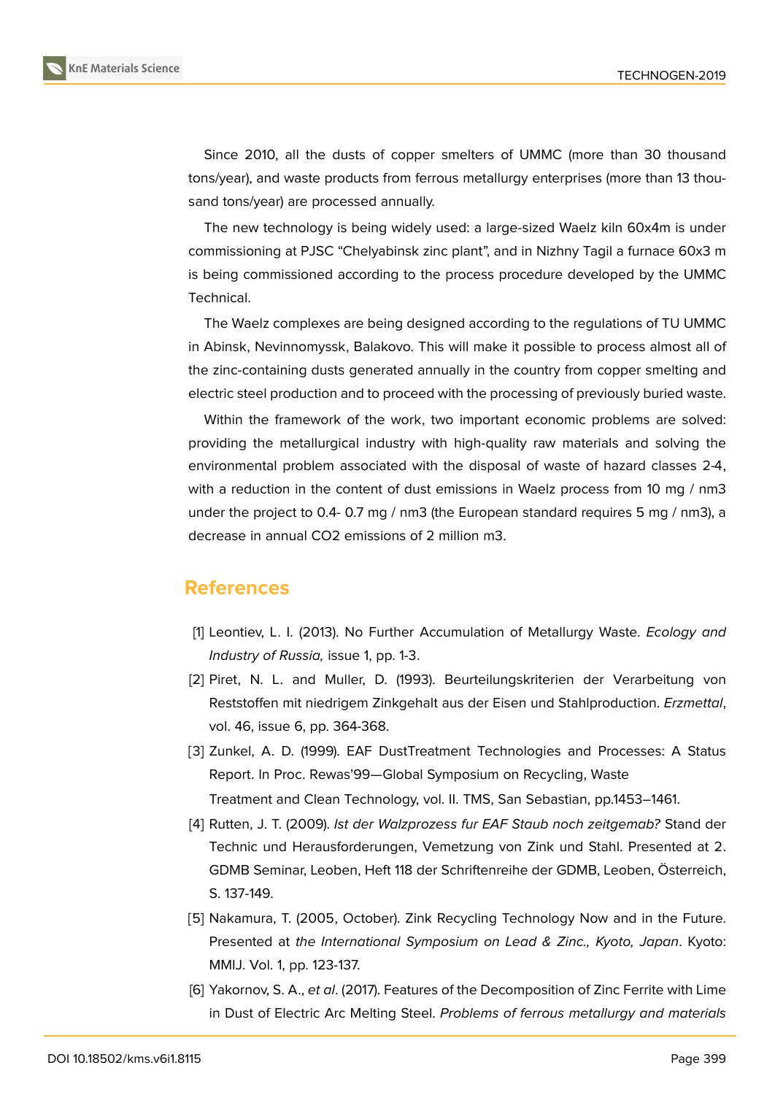

**KnE Materials Science**

Since 2010, all the dusts of copper smelters of UMMC (more than 30 thousand tons/year), and waste products from ferrous metallurgy enterprises (more than 13 thousand tons/year) are processed annually.

The new technology is being widely used: a large-sized Waelz kiln 60x4m is under commissioning at PJSC "Chelyabinsk zinc plant", and in Nizhny Tagil a furnace 60x3 m is being commissioned according to the process procedure developed by the UMMC Technical.

The Waelz complexes are being designed according to the regulations of TU UMMC in Abinsk, Nevinnomyssk, Balakovo. This will make it possible to process almost all of the zinc-containing dusts generated annually in the country from copper smelting and electric steel production and to proceed with the processing of previously buried waste.

Within the framework of the work, two important economic problems are solved: providing the metallurgical industry with high-quality raw materials and solving the environmental problem associated with the disposal of waste of hazard classes 2-4, with a reduction in the content of dust emissions in Waelz process from 10 mg / nm3 under the project to 0.4- 0.7 mg / nm3 (the European standard requires 5 mg / nm3), a decrease in annual CO2 emissions of 2 million m3.

## **References**

- <span id="page-8-0"></span>[1] Leontiev, L. I. (2013). No Further Accumulation of Metallurgy Waste. *Ecology and Industry of Russia,* issue 1, pp. 1-3.
- <span id="page-8-1"></span>[2] Piret, N. L. and Muller, D. (1993). Beurteilungskriterien der Verarbeitung von Reststoffen mit niedrigem Zinkgehalt aus der Eisen und Stahlproduction. *Erzmettal*, vol. 46, issue 6, pp. 364-368.
- [3] Zunkel, A. D. (1999). EAF DustTreatment Technologies and Processes: A Status Report. In Proc. Rewas'99—Global Symposium on Recycling, Waste Treatment and Clean Technology, vol. II. TMS, San Sebastian, pp.1453–1461.
- [4] Rutten, J. T. (2009). *Ist der Walzprozess fur EAF Staub noch zeitgemab?* Stand der Technic und Herausforderungen, Vemetzung von Zink und Stahl. Presented at 2. GDMB Seminar, Leoben, Heft 118 der Schriftenreihe der GDMB, Leoben, Österreich, S. 137-149.
- [5] Nakamura, T. (2005, October). Zink Recycling Technology Now and in the Future. Presented at *the International Symposium on Lead & Zinc., Kyoto, Japan*. Kyoto: MMIJ. Vol. 1, pp. 123-137.
- <span id="page-8-2"></span>[6] Yakornov, S. A., *et al*. (2017). Features of the Decomposition of Zinc Ferrite with Lime in Dust of Electric Arc Melting Steel. *Problems of ferrous metallurgy and materials*